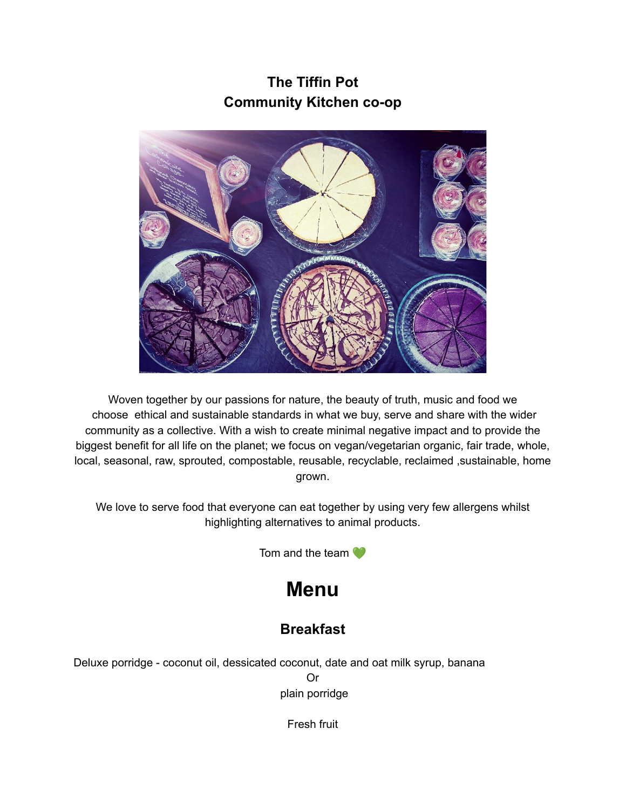# **The Tiffin Pot Community Kitchen co-op**



Woven together by our passions for nature, the beauty of truth, music and food we choose ethical and sustainable standards in what we buy, serve and share with the wider community as a collective. With a wish to create minimal negative impact and to provide the biggest benefit for all life on the planet; we focus on vegan/vegetarian organic, fair trade, whole, local, seasonal, raw, sprouted, compostable, reusable, recyclable, reclaimed ,sustainable, home grown.

We love to serve food that everyone can eat together by using very few allergens whilst highlighting alternatives to animal products.

Tom and the team

# **Menu**

# **Breakfast**

Deluxe porridge - coconut oil, dessicated coconut, date and oat milk syrup, banana Or plain porridge

Fresh fruit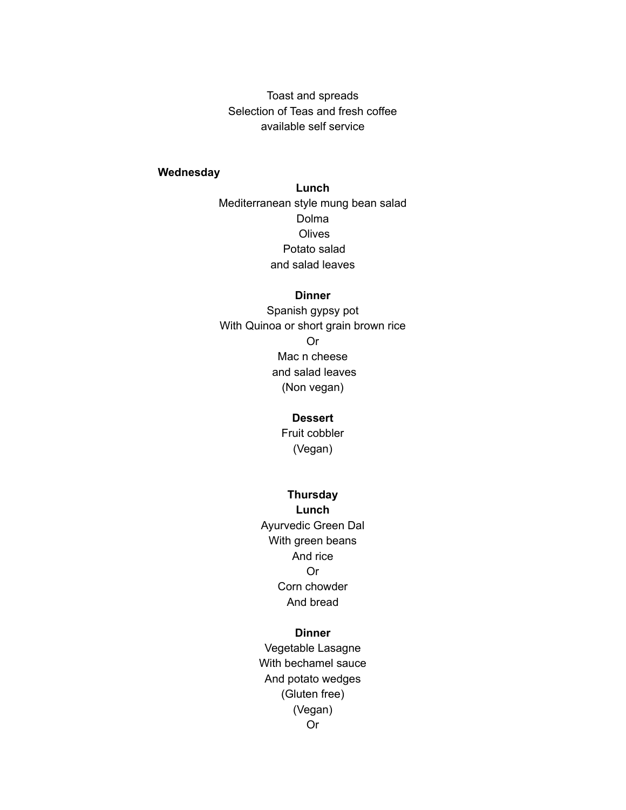Toast and spreads Selection of Teas and fresh coffee available self service

## **Wednesday**

**Lunch** Mediterranean style mung bean salad Dolma **Olives** Potato salad and salad leaves

#### **Dinner**

Spanish gypsy pot With Quinoa or short grain brown rice Or Mac n cheese and salad leaves (Non vegan)

#### **Dessert**

Fruit cobbler (Vegan)

#### **Thursday**

**Lunch** Ayurvedic Green Dal With green beans And rice Or Corn chowder And bread

#### **Dinner**

Vegetable Lasagne With bechamel sauce And potato wedges (Gluten free) (Vegan) Or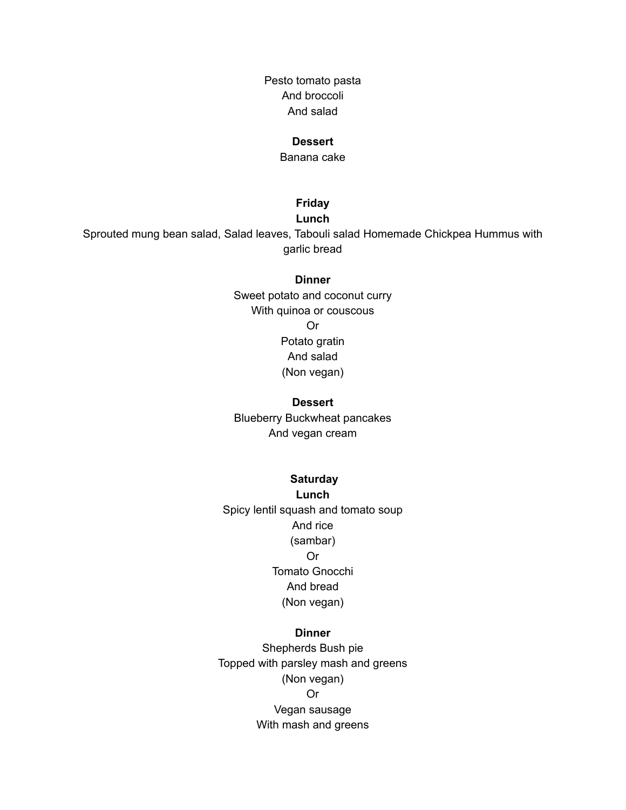Pesto tomato pasta And broccoli And salad

#### **Dessert**

Banana cake

# **Friday**

#### **Lunch**

Sprouted mung bean salad, Salad leaves, Tabouli salad Homemade Chickpea Hummus with garlic bread

#### **Dinner**

Sweet potato and coconut curry With quinoa or couscous Or Potato gratin And salad (Non vegan)

#### **Dessert**

Blueberry Buckwheat pancakes And vegan cream

#### **Saturday**

**Lunch** Spicy lentil squash and tomato soup And rice (sambar) Or Tomato Gnocchi And bread (Non vegan)

#### **Dinner**

Shepherds Bush pie Topped with parsley mash and greens (Non vegan) Or Vegan sausage With mash and greens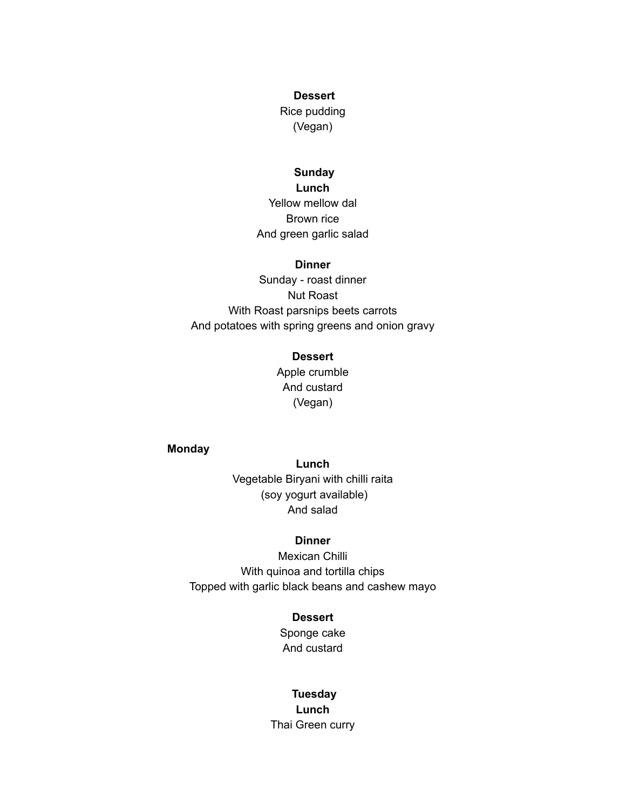#### **Dessert**

Rice pudding (Vegan)

#### **Sunday**

**Lunch** Yellow mellow dal Brown rice And green garlic salad

#### **Dinner**

Sunday - roast dinner Nut Roast With Roast parsnips beets carrots And potatoes with spring greens and onion gravy

#### **Dessert**

Apple crumble And custard (Vegan)

# **Monday**

**Lunch** Vegetable Biryani with chilli raita (soy yogurt available) And salad

## **Dinner**

Mexican Chilli With quinoa and tortilla chips Topped with garlic black beans and cashew mayo

#### **Dessert**

Sponge cake And custard

# **Tuesday**

**Lunch** Thai Green curry